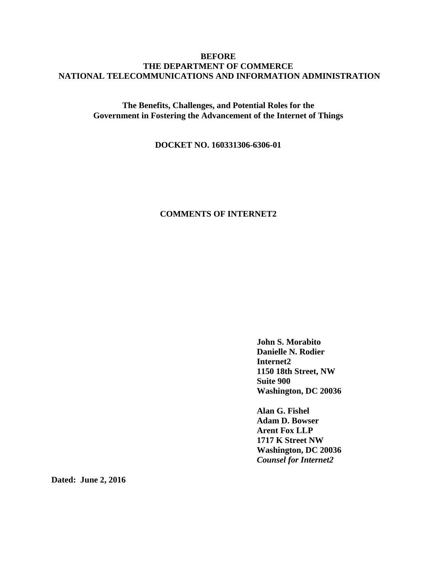## **BEFORE THE DEPARTMENT OF COMMERCE NATIONAL TELECOMMUNICATIONS AND INFORMATION ADMINISTRATION**

**The Benefits, Challenges, and Potential Roles for the Government in Fostering the Advancement of the Internet of Things**

**DOCKET NO. 160331306-6306-01**

# **COMMENTS OF INTERNET2**

**John S. Morabito Danielle N. Rodier Internet2 1150 18th Street, NW Suite 900 Washington, DC 20036**

**Alan G. Fishel Adam D. Bowser Arent Fox LLP 1717 K Street NW Washington, DC 20036** *Counsel for Internet2*

**Dated: June 2, 2016**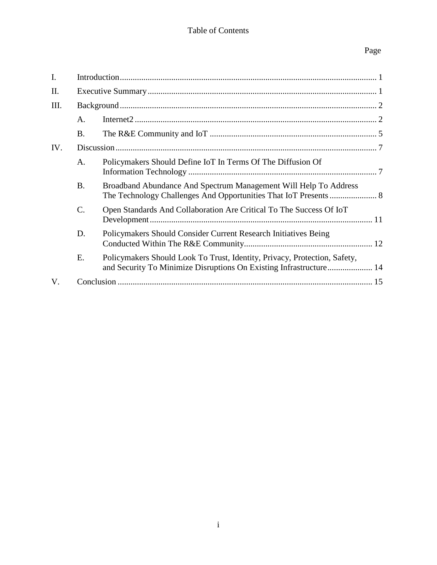# Table of Contents

# Page

| I.  |           |                                                                                                                                                 |  |
|-----|-----------|-------------------------------------------------------------------------------------------------------------------------------------------------|--|
| Π.  |           |                                                                                                                                                 |  |
| Ш.  |           |                                                                                                                                                 |  |
|     | A.        |                                                                                                                                                 |  |
|     | <b>B.</b> |                                                                                                                                                 |  |
| IV. |           |                                                                                                                                                 |  |
|     | A.        | Policymakers Should Define IoT In Terms Of The Diffusion Of                                                                                     |  |
|     | <b>B.</b> | Broadband Abundance And Spectrum Management Will Help To Address                                                                                |  |
|     | C.        | Open Standards And Collaboration Are Critical To The Success Of IoT                                                                             |  |
|     | D.        | Policymakers Should Consider Current Research Initiatives Being                                                                                 |  |
|     | Ε.        | Policymakers Should Look To Trust, Identity, Privacy, Protection, Safety,<br>and Security To Minimize Disruptions On Existing Infrastructure 14 |  |
| V.  |           |                                                                                                                                                 |  |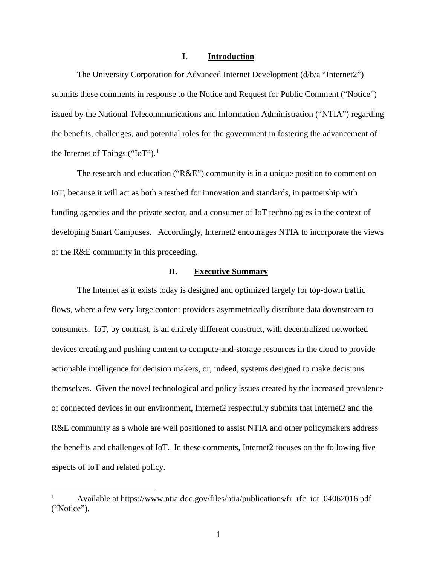#### **I. Introduction**

The University Corporation for Advanced Internet Development (d/b/a "Internet2") submits these comments in response to the Notice and Request for Public Comment ("Notice") issued by the National Telecommunications and Information Administration ("NTIA") regarding the benefits, challenges, and potential roles for the government in fostering the advancement of the Internet of Things ("IoT").<sup>[1](#page-2-0)</sup>

The research and education ("R&E") community is in a unique position to comment on IoT, because it will act as both a testbed for innovation and standards, in partnership with funding agencies and the private sector, and a consumer of IoT technologies in the context of developing Smart Campuses. Accordingly, Internet2 encourages NTIA to incorporate the views of the R&E community in this proceeding.

## **II. Executive Summary**

The Internet as it exists today is designed and optimized largely for top-down traffic flows, where a few very large content providers asymmetrically distribute data downstream to consumers. IoT, by contrast, is an entirely different construct, with decentralized networked devices creating and pushing content to compute-and-storage resources in the cloud to provide actionable intelligence for decision makers, or, indeed, systems designed to make decisions themselves. Given the novel technological and policy issues created by the increased prevalence of connected devices in our environment, Internet2 respectfully submits that Internet2 and the R&E community as a whole are well positioned to assist NTIA and other policymakers address the benefits and challenges of IoT. In these comments, Internet2 focuses on the following five aspects of IoT and related policy.

<span id="page-2-0"></span> <sup>1</sup> Available at https://www.ntia.doc.gov/files/ntia/publications/fr\_rfc\_iot\_04062016.pdf ("Notice").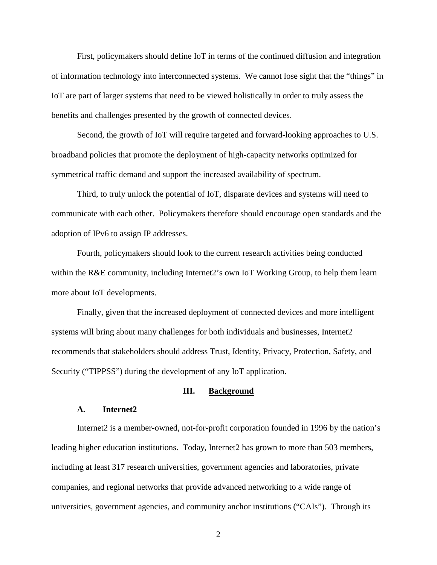First, policymakers should define IoT in terms of the continued diffusion and integration of information technology into interconnected systems. We cannot lose sight that the "things" in IoT are part of larger systems that need to be viewed holistically in order to truly assess the benefits and challenges presented by the growth of connected devices.

Second, the growth of IoT will require targeted and forward-looking approaches to U.S. broadband policies that promote the deployment of high-capacity networks optimized for symmetrical traffic demand and support the increased availability of spectrum.

Third, to truly unlock the potential of IoT, disparate devices and systems will need to communicate with each other. Policymakers therefore should encourage open standards and the adoption of IPv6 to assign IP addresses.

Fourth, policymakers should look to the current research activities being conducted within the R&E community, including Internet2's own IoT Working Group, to help them learn more about IoT developments.

Finally, given that the increased deployment of connected devices and more intelligent systems will bring about many challenges for both individuals and businesses, Internet2 recommends that stakeholders should address Trust, Identity, Privacy, Protection, Safety, and Security ("TIPPSS") during the development of any IoT application.

#### **III. Background**

### **A. Internet2**

Internet2 is a member-owned, not-for-profit corporation founded in 1996 by the nation's leading higher education institutions. Today, Internet2 has grown to more than 503 members, including at least 317 research universities, government agencies and laboratories, private companies, and regional networks that provide advanced networking to a wide range of universities, government agencies, and community anchor institutions ("CAIs"). Through its

2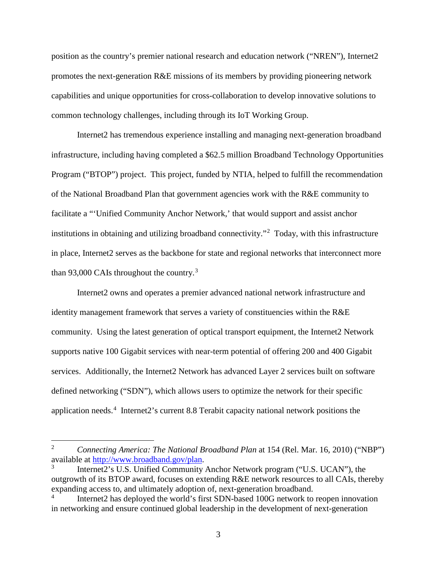position as the country's premier national research and education network ("NREN"), Internet2 promotes the next-generation R&E missions of its members by providing pioneering network capabilities and unique opportunities for cross-collaboration to develop innovative solutions to common technology challenges, including through its IoT Working Group.

Internet2 has tremendous experience installing and managing next-generation broadband infrastructure, including having completed a \$62.5 million Broadband Technology Opportunities Program ("BTOP") project. This project, funded by NTIA, helped to fulfill the recommendation of the National Broadband Plan that government agencies work with the R&E community to facilitate a "'Unified Community Anchor Network,' that would support and assist anchor institutions in obtaining and utilizing broadband connectivity."[2](#page-4-0) Today, with this infrastructure in place, Internet2 serves as the backbone for state and regional networks that interconnect more than 9[3](#page-4-1),000 CAIs throughout the country.<sup>3</sup>

Internet2 owns and operates a premier advanced national network infrastructure and identity management framework that serves a variety of constituencies within the R&E community. Using the latest generation of optical transport equipment, the Internet2 Network supports native 100 Gigabit services with near-term potential of offering 200 and 400 Gigabit services. Additionally, the Internet2 Network has advanced Layer 2 services built on software defined networking ("SDN"), which allows users to optimize the network for their specific application needs.<sup>[4](#page-4-2)</sup> Internet2's current 8.8 Terabit capacity national network positions the

<span id="page-4-0"></span> <sup>2</sup> *Connecting America: The National Broadband Plan* at 154 (Rel. Mar. 16, 2010) ("NBP") available at [http://www.broadband.gov/plan.](http://www.broadband.gov/plan)

<span id="page-4-1"></span>Internet2's U.S. Unified Community Anchor Network program ("U.S. UCAN"), the outgrowth of its BTOP award, focuses on extending R&E network resources to all CAIs, thereby expanding access to, and ultimately adoption of, next-generation broadband.

<span id="page-4-2"></span>Internet2 has deployed the world's first SDN-based 100G network to reopen innovation in networking and ensure continued global leadership in the development of next-generation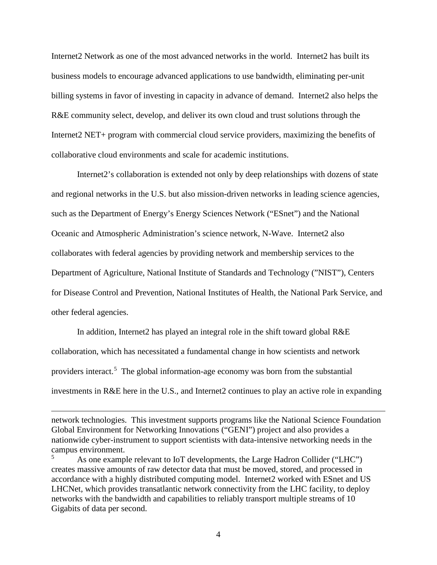Internet2 Network as one of the most advanced networks in the world. Internet2 has built its business models to encourage advanced applications to use bandwidth, eliminating per-unit billing systems in favor of investing in capacity in advance of demand. Internet2 also helps the R&E community select, develop, and deliver its own cloud and trust solutions through the Internet2 NET+ program with commercial cloud service providers, maximizing the benefits of collaborative cloud environments and scale for academic institutions.

Internet2's collaboration is extended not only by deep relationships with dozens of state and regional networks in the U.S. but also mission-driven networks in leading science agencies, such as the Department of Energy's Energy Sciences Network ("ESnet") and the National Oceanic and Atmospheric Administration's science network, N-Wave. Internet2 also collaborates with federal agencies by providing network and membership services to the Department of Agriculture, National Institute of Standards and Technology ("NIST"), Centers for Disease Control and Prevention, National Institutes of Health, the National Park Service, and other federal agencies.

In addition, Internet2 has played an integral role in the shift toward global R&E collaboration, which has necessitated a fundamental change in how scientists and network providers interact.<sup>[5](#page-5-0)</sup> The global information-age economy was born from the substantial investments in R&E here in the U.S., and Internet2 continues to play an active role in expanding

 $\overline{a}$ 

network technologies. This investment supports programs like the National Science Foundation Global Environment for Networking Innovations ("GENI") project and also provides a nationwide cyber-instrument to support scientists with data-intensive networking needs in the campus environment.

<span id="page-5-0"></span><sup>5</sup> As one example relevant to IoT developments, the Large Hadron Collider ("LHC") creates massive amounts of raw detector data that must be moved, stored, and processed in accordance with a highly distributed computing model. Internet2 worked with ESnet and US LHCNet, which provides transatlantic network connectivity from the LHC facility, to deploy networks with the bandwidth and capabilities to reliably transport multiple streams of 10 Gigabits of data per second.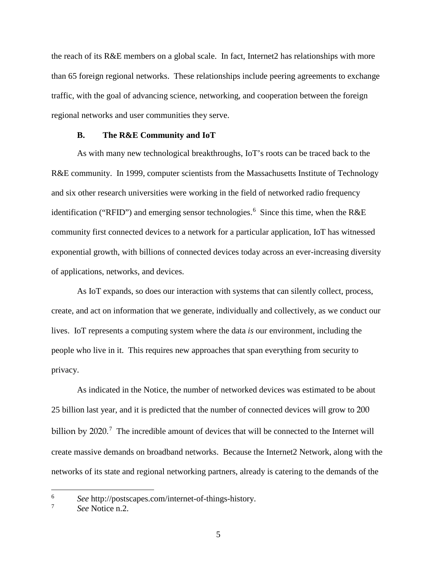the reach of its R&E members on a global scale. In fact, Internet2 has relationships with more than 65 foreign regional networks. These relationships include peering agreements to exchange traffic, with the goal of advancing science, networking, and cooperation between the foreign regional networks and user communities they serve.

#### **B. The R&E Community and IoT**

As with many new technological breakthroughs, IoT's roots can be traced back to the R&E community. In 1999, computer scientists from the Massachusetts Institute of Technology and six other research universities were working in the field of networked radio frequency identification ("RFID") and emerging sensor technologies.<sup>[6](#page-6-0)</sup> Since this time, when the R&E community first connected devices to a network for a particular application, IoT has witnessed exponential growth, with billions of connected devices today across an ever-increasing diversity of applications, networks, and devices.

As IoT expands, so does our interaction with systems that can silently collect, process, create, and act on information that we generate, individually and collectively, as we conduct our lives. IoT represents a computing system where the data *is* our environment, including the people who live in it. This requires new approaches that span everything from security to privacy.

As indicated in the Notice, the number of networked devices was estimated to be about 25 billion last year, and it is predicted that the number of connected devices will grow to 200 billion by  $2020$ .<sup>[7](#page-6-1)</sup> The incredible amount of devices that will be connected to the Internet will create massive demands on broadband networks. Because the Internet2 Network, along with the networks of its state and regional networking partners, already is catering to the demands of the

<span id="page-6-0"></span><sup>&</sup>lt;sup>6</sup> *See* http://postscapes.com/internet-of-things-history.

<span id="page-6-1"></span><sup>7</sup> *See* Notice n.2.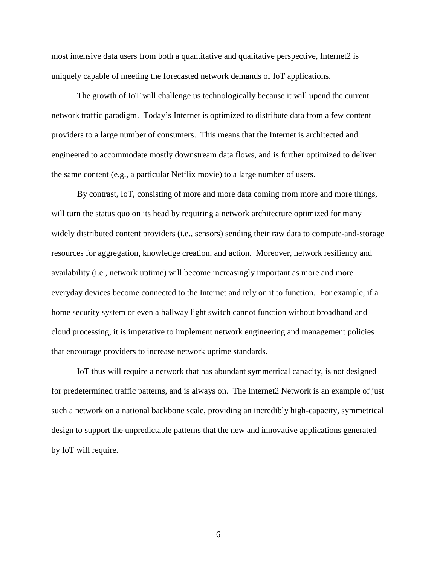most intensive data users from both a quantitative and qualitative perspective, Internet2 is uniquely capable of meeting the forecasted network demands of IoT applications.

The growth of IoT will challenge us technologically because it will upend the current network traffic paradigm. Today's Internet is optimized to distribute data from a few content providers to a large number of consumers. This means that the Internet is architected and engineered to accommodate mostly downstream data flows, and is further optimized to deliver the same content (e.g., a particular Netflix movie) to a large number of users.

By contrast, IoT, consisting of more and more data coming from more and more things, will turn the status quo on its head by requiring a network architecture optimized for many widely distributed content providers (i.e., sensors) sending their raw data to compute-and-storage resources for aggregation, knowledge creation, and action. Moreover, network resiliency and availability (i.e., network uptime) will become increasingly important as more and more everyday devices become connected to the Internet and rely on it to function. For example, if a home security system or even a hallway light switch cannot function without broadband and cloud processing, it is imperative to implement network engineering and management policies that encourage providers to increase network uptime standards.

IoT thus will require a network that has abundant symmetrical capacity, is not designed for predetermined traffic patterns, and is always on. The Internet2 Network is an example of just such a network on a national backbone scale, providing an incredibly high-capacity, symmetrical design to support the unpredictable patterns that the new and innovative applications generated by IoT will require.

6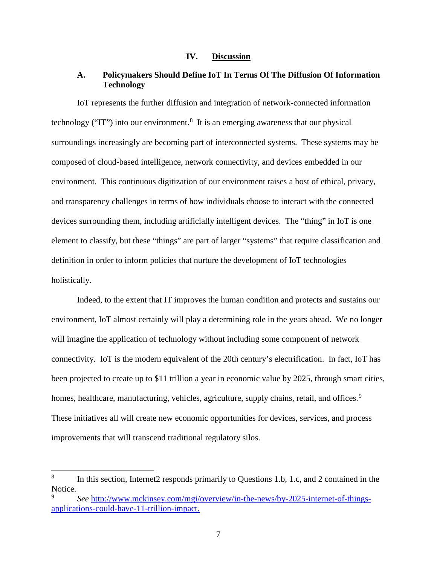### **IV. Discussion**

# **A. Policymakers Should Define IoT In Terms Of The Diffusion Of Information Technology**

IoT represents the further diffusion and integration of network-connected information technology ("IT") into our environment.<sup>[8](#page-8-0)</sup> It is an emerging awareness that our physical surroundings increasingly are becoming part of interconnected systems. These systems may be composed of cloud-based intelligence, network connectivity, and devices embedded in our environment. This continuous digitization of our environment raises a host of ethical, privacy, and transparency challenges in terms of how individuals choose to interact with the connected devices surrounding them, including artificially intelligent devices. The "thing" in IoT is one element to classify, but these "things" are part of larger "systems" that require classification and definition in order to inform policies that nurture the development of IoT technologies holistically.

Indeed, to the extent that IT improves the human condition and protects and sustains our environment, IoT almost certainly will play a determining role in the years ahead. We no longer will imagine the application of technology without including some component of network connectivity. IoT is the modern equivalent of the 20th century's electrification. In fact, IoT has been projected to create up to \$11 trillion a year in economic value by 2025, through smart cities, homes, healthcare, manufacturing, vehicles, agriculture, supply chains, retail, and offices.<sup>[9](#page-8-1)</sup> These initiatives all will create new economic opportunities for devices, services, and process improvements that will transcend traditional regulatory silos.

<span id="page-8-0"></span> <sup>8</sup> In this section, Internet2 responds primarily to Questions 1.b, 1.c, and 2 contained in the Notice.

<span id="page-8-1"></span>See [http://www.mckinsey.com/mgi/overview/in-the-news/by-2025-internet-of-things](http://www.mckinsey.com/mgi/overview/in-the-news/by-2025-internet-of-things-applications-could-have-11-trillion-impact)[applications-could-have-11-trillion-impact.](http://www.mckinsey.com/mgi/overview/in-the-news/by-2025-internet-of-things-applications-could-have-11-trillion-impact)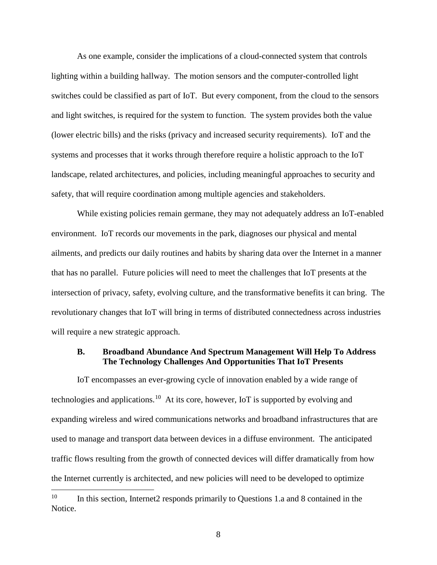As one example, consider the implications of a cloud-connected system that controls lighting within a building hallway. The motion sensors and the computer-controlled light switches could be classified as part of IoT. But every component, from the cloud to the sensors and light switches, is required for the system to function. The system provides both the value (lower electric bills) and the risks (privacy and increased security requirements). IoT and the systems and processes that it works through therefore require a holistic approach to the IoT landscape, related architectures, and policies, including meaningful approaches to security and safety, that will require coordination among multiple agencies and stakeholders.

While existing policies remain germane, they may not adequately address an IoT-enabled environment. IoT records our movements in the park, diagnoses our physical and mental ailments, and predicts our daily routines and habits by sharing data over the Internet in a manner that has no parallel. Future policies will need to meet the challenges that IoT presents at the intersection of privacy, safety, evolving culture, and the transformative benefits it can bring. The revolutionary changes that IoT will bring in terms of distributed connectedness across industries will require a new strategic approach.

#### **B. Broadband Abundance And Spectrum Management Will Help To Address The Technology Challenges And Opportunities That IoT Presents**

IoT encompasses an ever-growing cycle of innovation enabled by a wide range of technologies and applications.<sup>10</sup> At its core, however, IoT is supported by evolving and expanding wireless and wired communications networks and broadband infrastructures that are used to manage and transport data between devices in a diffuse environment. The anticipated traffic flows resulting from the growth of connected devices will differ dramatically from how the Internet currently is architected, and new policies will need to be developed to optimize

<span id="page-9-0"></span><sup>&</sup>lt;sup>10</sup> In this section, Internet2 responds primarily to Questions 1.a and 8 contained in the Notice.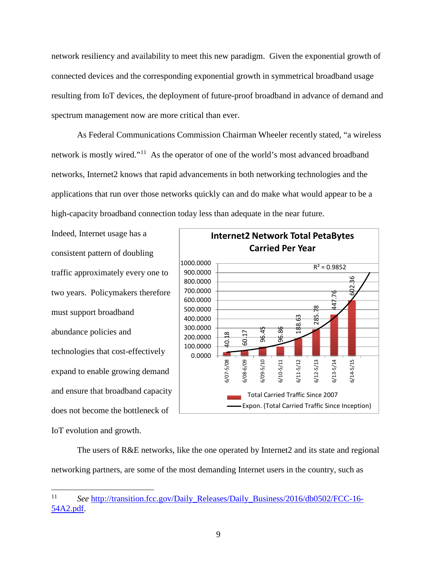network resiliency and availability to meet this new paradigm. Given the exponential growth of connected devices and the corresponding exponential growth in symmetrical broadband usage resulting from IoT devices, the deployment of future-proof broadband in advance of demand and spectrum management now are more critical than ever.

As Federal Communications Commission Chairman Wheeler recently stated, "a wireless network is mostly wired."[11](#page-10-0) As the operator of one of the world's most advanced broadband networks, Internet2 knows that rapid advancements in both networking technologies and the applications that run over those networks quickly can and do make what would appear to be a high-capacity broadband connection today less than adequate in the near future.

Indeed, Internet usage has a consistent pattern of doubling traffic approximately every one to two years. Policymakers therefore must support broadband abundance policies and technologies that cost-effectively expand to enable growing demand and ensure that broadband capacity does not become the bottleneck of IoT evolution and growth.



The users of R&E networks, like the one operated by Internet2 and its state and regional networking partners, are some of the most demanding Internet users in the country, such as

<span id="page-10-0"></span> <sup>11</sup> *See* [http://transition.fcc.gov/Daily\\_Releases/Daily\\_Business/2016/db0502/FCC-16-](http://transition.fcc.gov/Daily_Releases/Daily_Business/2016/db0502/FCC-16-54A2.pdf) [54A2.pdf.](http://transition.fcc.gov/Daily_Releases/Daily_Business/2016/db0502/FCC-16-54A2.pdf)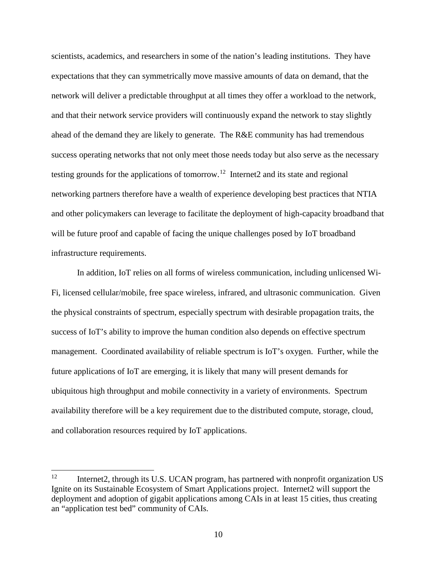scientists, academics, and researchers in some of the nation's leading institutions. They have expectations that they can symmetrically move massive amounts of data on demand, that the network will deliver a predictable throughput at all times they offer a workload to the network, and that their network service providers will continuously expand the network to stay slightly ahead of the demand they are likely to generate. The R&E community has had tremendous success operating networks that not only meet those needs today but also serve as the necessary testing grounds for the applications of tomorrow.<sup>[12](#page-11-0)</sup> Internet2 and its state and regional networking partners therefore have a wealth of experience developing best practices that NTIA and other policymakers can leverage to facilitate the deployment of high-capacity broadband that will be future proof and capable of facing the unique challenges posed by IoT broadband infrastructure requirements.

In addition, IoT relies on all forms of wireless communication, including unlicensed Wi-Fi, licensed cellular/mobile, free space wireless, infrared, and ultrasonic communication. Given the physical constraints of spectrum, especially spectrum with desirable propagation traits, the success of IoT's ability to improve the human condition also depends on effective spectrum management. Coordinated availability of reliable spectrum is IoT's oxygen. Further, while the future applications of IoT are emerging, it is likely that many will present demands for ubiquitous high throughput and mobile connectivity in a variety of environments. Spectrum availability therefore will be a key requirement due to the distributed compute, storage, cloud, and collaboration resources required by IoT applications.

<span id="page-11-0"></span> $12$  Internet2, through its U.S. UCAN program, has partnered with nonprofit organization US Ignite on its Sustainable Ecosystem of Smart Applications project. Internet2 will support the deployment and adoption of gigabit applications among CAIs in at least 15 cities, thus creating an "application test bed" community of CAIs.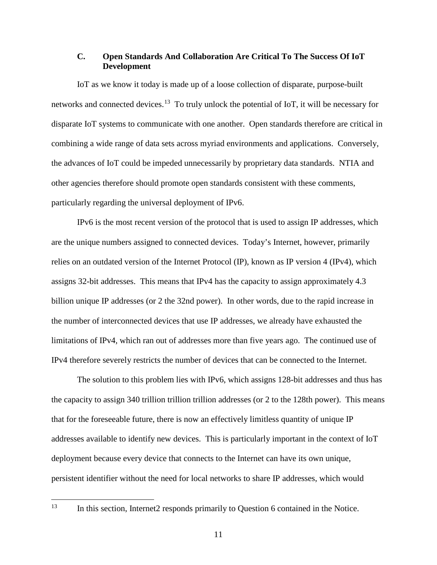# **C. Open Standards And Collaboration Are Critical To The Success Of IoT Development**

IoT as we know it today is made up of a loose collection of disparate, purpose-built networks and connected devices.<sup>[13](#page-12-0)</sup> To truly unlock the potential of IoT, it will be necessary for disparate IoT systems to communicate with one another. Open standards therefore are critical in combining a wide range of data sets across myriad environments and applications. Conversely, the advances of IoT could be impeded unnecessarily by proprietary data standards. NTIA and other agencies therefore should promote open standards consistent with these comments, particularly regarding the universal deployment of IPv6.

IPv6 is the most recent version of the protocol that is used to assign IP addresses, which are the unique numbers assigned to connected devices. Today's Internet, however, primarily relies on an outdated version of the Internet Protocol (IP), known as IP version 4 (IPv4), which assigns 32-bit addresses. This means that IPv4 has the capacity to assign approximately 4.3 billion unique IP addresses (or 2 the 32nd power). In other words, due to the rapid increase in the number of interconnected devices that use IP addresses, we already have exhausted the limitations of IPv4, which ran out of addresses more than five years ago. The continued use of IPv4 therefore severely restricts the number of devices that can be connected to the Internet.

The solution to this problem lies with IPv6, which assigns 128-bit addresses and thus has the capacity to assign 340 trillion trillion trillion addresses (or 2 to the 128th power). This means that for the foreseeable future, there is now an effectively limitless quantity of unique IP addresses available to identify new devices. This is particularly important in the context of IoT deployment because every device that connects to the Internet can have its own unique, persistent identifier without the need for local networks to share IP addresses, which would

<span id="page-12-0"></span><sup>&</sup>lt;sup>13</sup> In this section, Internet2 responds primarily to Question 6 contained in the Notice.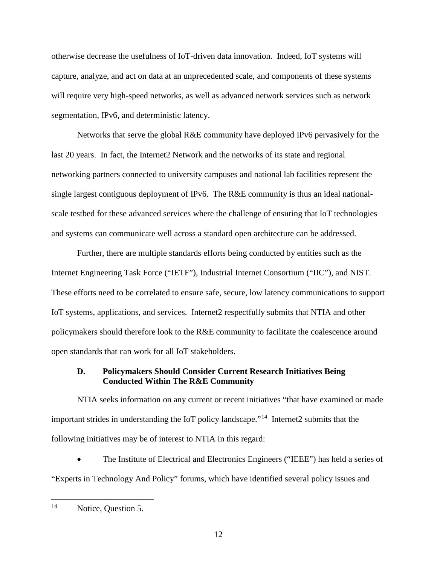otherwise decrease the usefulness of IoT-driven data innovation. Indeed, IoT systems will capture, analyze, and act on data at an unprecedented scale, and components of these systems will require very high-speed networks, as well as advanced network services such as network segmentation, IPv6, and deterministic latency.

Networks that serve the global R&E community have deployed IPv6 pervasively for the last 20 years. In fact, the Internet2 Network and the networks of its state and regional networking partners connected to university campuses and national lab facilities represent the single largest contiguous deployment of IPv6. The R&E community is thus an ideal nationalscale testbed for these advanced services where the challenge of ensuring that IoT technologies and systems can communicate well across a standard open architecture can be addressed.

Further, there are multiple standards efforts being conducted by entities such as the Internet Engineering Task Force ("IETF"), Industrial Internet Consortium ("IIC"), and NIST. These efforts need to be correlated to ensure safe, secure, low latency communications to support IoT systems, applications, and services. Internet2 respectfully submits that NTIA and other policymakers should therefore look to the R&E community to facilitate the coalescence around open standards that can work for all IoT stakeholders.

## **D. Policymakers Should Consider Current Research Initiatives Being Conducted Within The R&E Community**

NTIA seeks information on any current or recent initiatives "that have examined or made important strides in understanding the IoT policy landscape."<sup>14</sup> Internet2 submits that the following initiatives may be of interest to NTIA in this regard:

• The Institute of Electrical and Electronics Engineers ("IEEE") has held a series of "Experts in Technology And Policy" forums, which have identified several policy issues and

<span id="page-13-0"></span><sup>&</sup>lt;sup>14</sup> Notice, Question 5.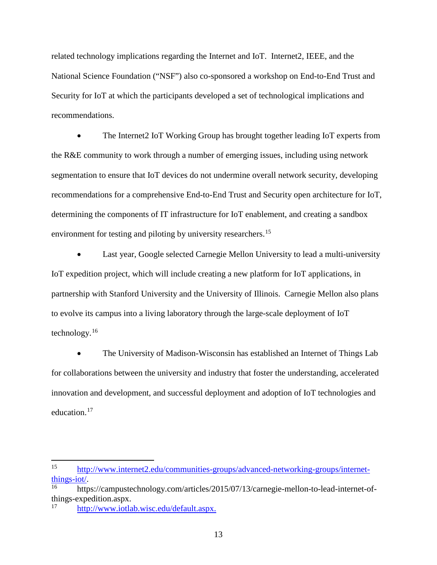related technology implications regarding the Internet and IoT. Internet2, IEEE, and the National Science Foundation ("NSF") also co-sponsored a workshop on End-to-End Trust and Security for IoT at which the participants developed a set of technological implications and recommendations.

• The Internet2 IoT Working Group has brought together leading IoT experts from the R&E community to work through a number of emerging issues, including using network segmentation to ensure that IoT devices do not undermine overall network security, developing recommendations for a comprehensive End-to-End Trust and Security open architecture for IoT, determining the components of IT infrastructure for IoT enablement, and creating a sandbox environment for testing and piloting by university researchers.<sup>[15](#page-14-0)</sup>

Last year, Google selected Carnegie Mellon University to lead a multi-university IoT expedition project, which will include creating a new platform for IoT applications, in partnership with Stanford University and the University of Illinois. Carnegie Mellon also plans to evolve its campus into a living laboratory through the large-scale deployment of IoT technology.[16](#page-14-1)

• The University of Madison-Wisconsin has established an Internet of Things Lab for collaborations between the university and industry that foster the understanding, accelerated innovation and development, and successful deployment and adoption of IoT technologies and education.<sup>[17](#page-14-2)</sup>

<span id="page-14-0"></span> <sup>15</sup> [http://www.internet2.edu/communities-groups/advanced-networking-groups/internet](http://www.internet2.edu/communities-groups/advanced-networking-groups/internet-things-iot/)[things-iot/.](http://www.internet2.edu/communities-groups/advanced-networking-groups/internet-things-iot/)<br><sup>[16](http://www.internet2.edu/communities-groups/advanced-networking-groups/internet-things-iot/)</sup> https://campustechnology.com/articles/2015/07/13/carnegie-mellon-to-lead-internet-of-

<span id="page-14-1"></span>things-expedition.aspx.

<span id="page-14-2"></span>[http://www.iotlab.wisc.edu/default.aspx.](http://www.iotlab.wisc.edu/default.aspx)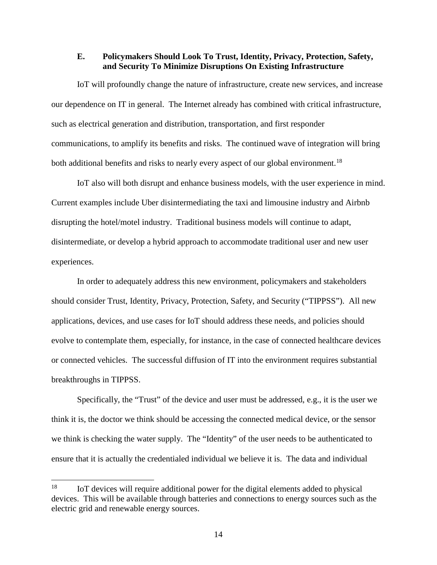## **E. Policymakers Should Look To Trust, Identity, Privacy, Protection, Safety, and Security To Minimize Disruptions On Existing Infrastructure**

IoT will profoundly change the nature of infrastructure, create new services, and increase our dependence on IT in general. The Internet already has combined with critical infrastructure, such as electrical generation and distribution, transportation, and first responder communications, to amplify its benefits and risks. The continued wave of integration will bring both additional benefits and risks to nearly every aspect of our global environment.<sup>[18](#page-15-0)</sup>

IoT also will both disrupt and enhance business models, with the user experience in mind. Current examples include Uber disintermediating the taxi and limousine industry and Airbnb disrupting the hotel/motel industry. Traditional business models will continue to adapt, disintermediate, or develop a hybrid approach to accommodate traditional user and new user experiences.

In order to adequately address this new environment, policymakers and stakeholders should consider Trust, Identity, Privacy, Protection, Safety, and Security ("TIPPSS"). All new applications, devices, and use cases for IoT should address these needs, and policies should evolve to contemplate them, especially, for instance, in the case of connected healthcare devices or connected vehicles. The successful diffusion of IT into the environment requires substantial breakthroughs in TIPPSS.

Specifically, the "Trust" of the device and user must be addressed, e.g., it is the user we think it is, the doctor we think should be accessing the connected medical device, or the sensor we think is checking the water supply. The "Identity" of the user needs to be authenticated to ensure that it is actually the credentialed individual we believe it is. The data and individual

<span id="page-15-0"></span><sup>&</sup>lt;sup>18</sup> IoT devices will require additional power for the digital elements added to physical devices. This will be available through batteries and connections to energy sources such as the electric grid and renewable energy sources.